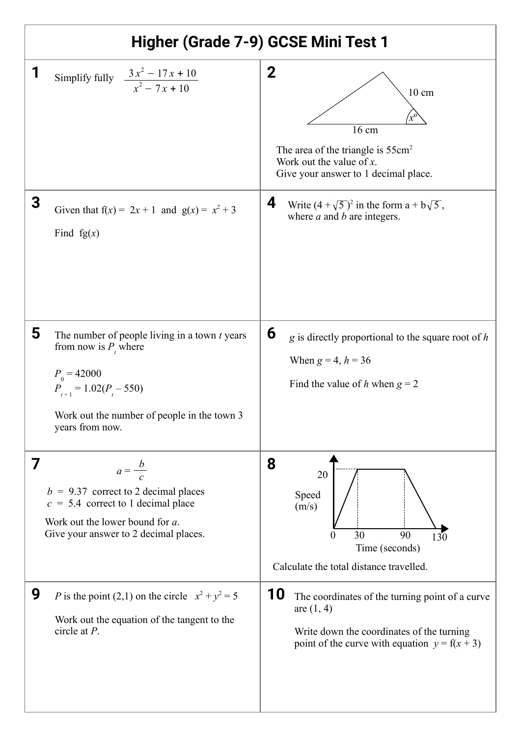| Higher (Grade 7-9) GCSE Mini Test 1 |                                                                                                                                                                                                  |                                                                                                                                                                       |
|-------------------------------------|--------------------------------------------------------------------------------------------------------------------------------------------------------------------------------------------------|-----------------------------------------------------------------------------------------------------------------------------------------------------------------------|
|                                     | Simplify fully $\frac{3x^2 - 17x + 10}{x^2 - 7x + 10}$                                                                                                                                           | $\mathbf 2$<br>$10 \text{ cm}$<br>16 cm<br>The area of the triangle is $55 \text{cm}^2$<br>Work out the value of $x$ .<br>Give your answer to 1 decimal place.        |
| 3                                   | Given that $f(x) = 2x + 1$ and $g(x) = x^2 + 3$<br>Find $fg(x)$                                                                                                                                  | 4<br>Write $(4 + \sqrt{5})^2$ in the form a + $b\sqrt{5}$ ,<br>where $a$ and $b$ are integers.                                                                        |
| 5                                   | The number of people living in a town $t$ years<br>from now is $P_{t}$ where<br>$P_{0} = 42000$<br>$P_{t+1} = 1.02(P_t - 550)$<br>Work out the number of people in the town 3<br>years from now. | 6<br>$g$ is directly proportional to the square root of $h$<br>When $g = 4, h = 36$<br>Find the value of h when $g = 2$                                               |
| 7                                   | $a=\frac{b}{c}$<br>$b = 9.37$ correct to 2 decimal places<br>$c = 5.4$ correct to 1 decimal place<br>Work out the lower bound for a.<br>Give your answer to 2 decimal places.                    | 8<br>20<br>Speed<br>(m/s)<br>30<br>90<br>$\theta$<br>130<br>Time (seconds)<br>Calculate the total distance travelled.                                                 |
| 9                                   | P is the point (2,1) on the circle $x^2 + y^2 = 5$<br>Work out the equation of the tangent to the<br>circle at $P$ .                                                                             | 10<br>The coordinates of the turning point of a curve<br>are $(1, 4)$<br>Write down the coordinates of the turning<br>point of the curve with equation $y = f(x + 3)$ |